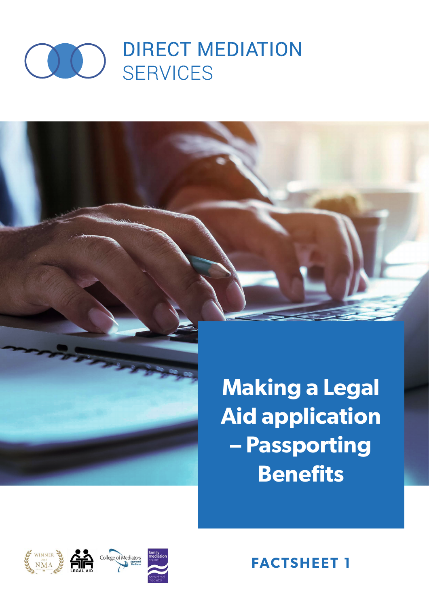

**Making a Legal Aid application – Passporting Benefits**



**FACTSHEET 1**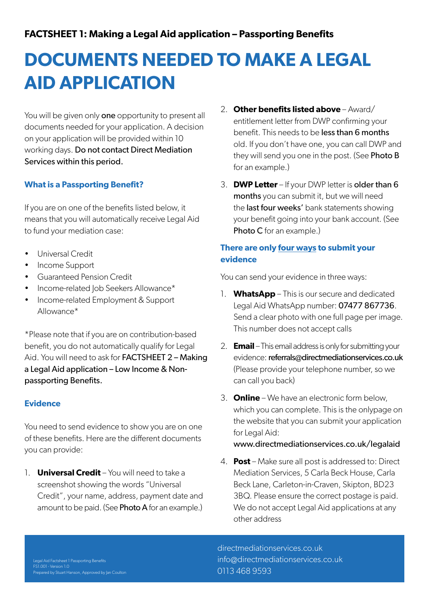# **FACTSHEET 1: Making a Legal Aid application – Passporting Benefits**

# **DOCUMENTS NEEDED TO MAKE A LEGAL AID APPLICATION**

You will be given only **one** opportunity to present all documents needed for your application. A decision on your application will be provided within 10 working days. Do not contact Direct Mediation Services within this period.

# **What is a Passporting Benefit?**

If you are on one of the benefits listed below, it means that you will automatically receive Legal Aid to fund your mediation case:

- Universal Credit
- Income Support
- Guaranteed Pension Credit
- Income-related Job Seekers Allowance\*
- Income-related Employment & Support Allowance\*

\*Please note that if you are on contribution-based benefit, you do not automatically qualify for Legal Aid. You will need to ask for FACTSHEET 2 – Making a Legal Aid application – Low Income & Nonpassporting Benefits.

## **Evidence**

You need to send evidence to show you are on one of these benefits. Here are the different documents you can provide:

1. **Universal Credit** – You will need to take a screenshot showing the words "Universal Credit", your name, address, payment date and amount to be paid. (See **Photo A** for an example.)

- 2. **Other benefits listed above** Award/ entitlement letter from DWP confirming your benefit. This needs to be less than 6 months old. If you don't have one, you can call DWP and they will send you one in the post. (See **Photo B** for an example.)
- 3. **DWP Letter** If your DWP letter is older than 6 months you can submit it, but we will need the last four weeks' bank statements showing your benefit going into your bank account. (See Photo C for an example.)

# **There are only four ways to submit your evidence**

You can send your evidence in three ways:

- 1. **WhatsApp** This is our secure and dedicated Legal Aid WhatsApp number: 07477 867736. Send a clear photo with one full page per image. This number does not accept calls
- 2. **Email** This email address is only for submitting your evidence: referrals@directmediationservices.co.uk (Please provide your telephone number, so we can call you back)
- 3. **Online** We have an electronic form below, which you can complete. This is the onlypage on the website that you can submit your application for Legal Aid:

www.directmediationservices.co.uk/legalaid

4. **Post** – Make sure all post is addressed to: Direct Mediation Services, 5 Carla Beck House, Carla Beck Lane, Carleton-in-Craven, Skipton, BD23 3BQ. Please ensure the correct postage is paid. We do not accept Legal Aid applications at any other address

directmediationservices.co.uk info@directmediationservices.co.uk 0113 468 9593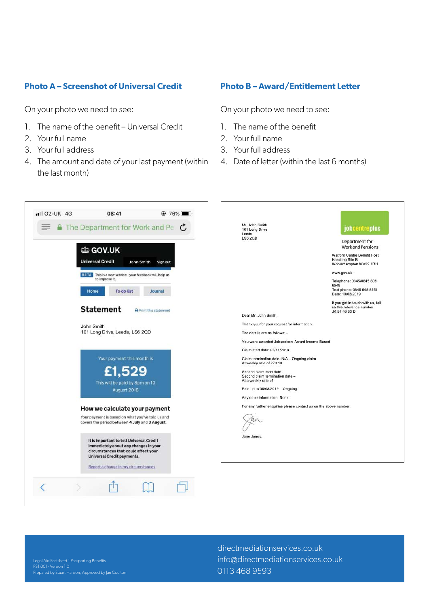## **Photo A – Screenshot of Universal Credit**

On your photo we need to see:

- 1. The name of the benefit Universal Credit
- 2. Your full name
- 3. Your full address
- 4. The amount and date of your last payment (within the last month)

#### **Photo B – Award/Entitlement Letter**

On your photo we need to see:

- 1. The name of the benefit
- 2. Your full name
- 3. Your full address
- 4. Date of letter (within the last 6 months)



Legal Aid Factsheet 1 Passporting Benefits

directmediationservices.co.uk info@directmediationservices.co.uk 0113 468 9593